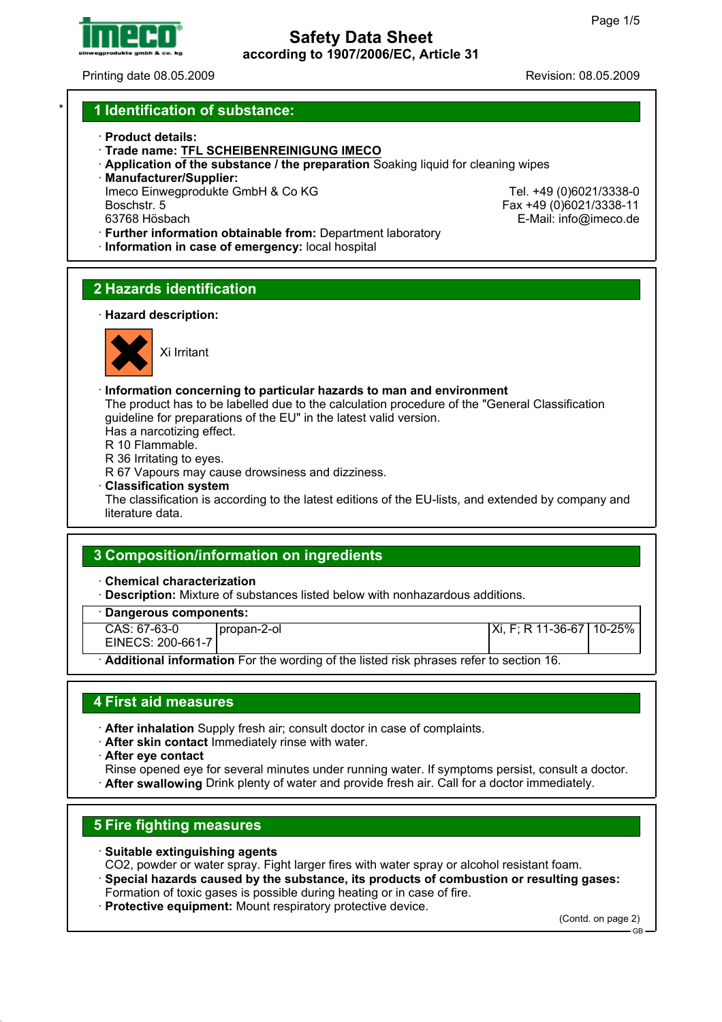

Printing date 08.05.2009 Revision: 08.05.2009

E-Mail: info@imeco.de

### \* **1 Identification of substance:**

- · **Product details:**
- · **Trade name: TFL SCHEIBENREINIGUNG IMECO**
- · **Application of the substance / the preparation** Soaking liquid for cleaning wipes
- · **Manufacturer/Supplier:**
- Imeco Einwegprodukte GmbH & Co KG Tel. +49 (0)6021/3338-0<br>Boschstr. 5 Tel. +49 (0)6021/3338-11 Boschstr. 5 Fax +49 (0)6021/3338-11
- 
- · **Further information obtainable from:** Department laboratory
- · **Information in case of emergency:** local hospital

# **2 Hazards identification**

· **Hazard description:**



Xi Irritant

- · **Information concerning to particular hazards to man and environment**
- The product has to be labelled due to the calculation procedure of the "General Classification guideline for preparations of the EU" in the latest valid version.
- Has a narcotizing effect.
- R 10 Flammable.
- R 36 Irritating to eyes.
- R 67 Vapours may cause drowsiness and dizziness.
- · **Classification system**

The classification is according to the latest editions of the EU-lists, and extended by company and literature data.

## **3 Composition/information on ingredients**

- · **Chemical characterization**
- **Description:** Mixture of substances listed below with nonhazardous additions.
- · **Dangerous components:**
- CAS: 67-63-0 EINECS: 200-661-7 propan-2-ol Xi, F; R 11-36-67 10-25% · **Additional information** For the wording of the listed risk phrases refer to section 16.

### **4 First aid measures**

- · **After inhalation** Supply fresh air; consult doctor in case of complaints.
- · **After skin contact** Immediately rinse with water.
- · **After eye contact**
- Rinse opened eye for several minutes under running water. If symptoms persist, consult a doctor. · **After swallowing** Drink plenty of water and provide fresh air. Call for a doctor immediately.

## **5 Fire fighting measures**

- · **Suitable extinguishing agents**
- CO2, powder or water spray. Fight larger fires with water spray or alcohol resistant foam.
- · **Special hazards caused by the substance, its products of combustion or resulting gases:** Formation of toxic gases is possible during heating or in case of fire.
- · **Protective equipment:** Mount respiratory protective device.

(Contd. on page 2)

GB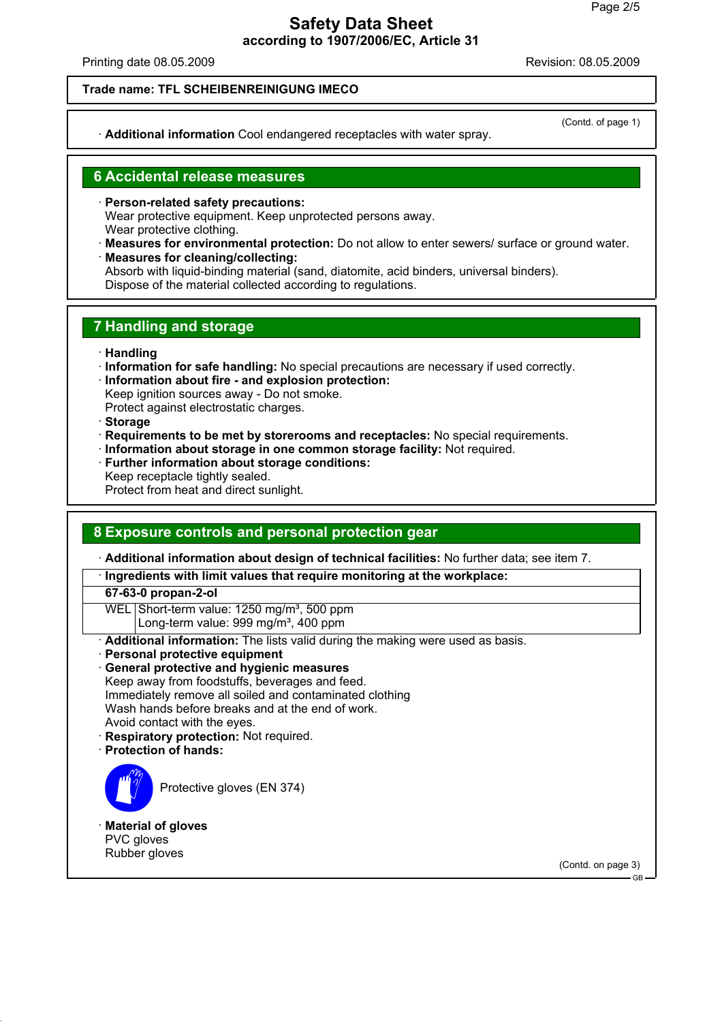Printing date 08.05.2009 **Revision: 08.05.2009** Revision: 08.05.2009

#### **Trade name: TFL SCHEIBENREINIGUNG IMECO**

· **Additional information** Cool endangered receptacles with water spray.

(Contd. of page 1)

### **6 Accidental release measures**

- · **Person-related safety precautions:** Wear protective equipment. Keep unprotected persons away. Wear protective clothing.
- · **Measures for environmental protection:** Do not allow to enter sewers/ surface or ground water. · **Measures for cleaning/collecting:**
- Absorb with liquid-binding material (sand, diatomite, acid binders, universal binders). Dispose of the material collected according to regulations.

### **7 Handling and storage**

- · **Handling**
- · **Information for safe handling:** No special precautions are necessary if used correctly.
- · **Information about fire and explosion protection:**
- Keep ignition sources away Do not smoke.
- Protect against electrostatic charges.
- · **Storage**
- · **Requirements to be met by storerooms and receptacles:** No special requirements.
- · **Information about storage in one common storage facility:** Not required.
- **Further information about storage conditions:**
- Keep receptacle tightly sealed.
- Protect from heat and direct sunlight.

### **8 Exposure controls and personal protection gear**

· **Additional information about design of technical facilities:** No further data; see item 7.

· **Ingredients with limit values that require monitoring at the workplace:**

**67-63-0 propan-2-ol**

WEL Short-term value: 1250 mg/m<sup>3</sup>, 500 ppm

Long-term value: 999 mg/m<sup>3</sup>, 400 ppm

- · **Additional information:** The lists valid during the making were used as basis.
- **Personal protective equipment**
- · **General protective and hygienic measures** Keep away from foodstuffs, beverages and feed. Immediately remove all soiled and contaminated clothing Wash hands before breaks and at the end of work. Avoid contact with the eyes.
- · **Respiratory protection:** Not required.
- · **Protection of hands:**



Protective gloves (EN 374)

· **Material of gloves** PVC gloves Rubber gloves

(Contd. on page 3)

GB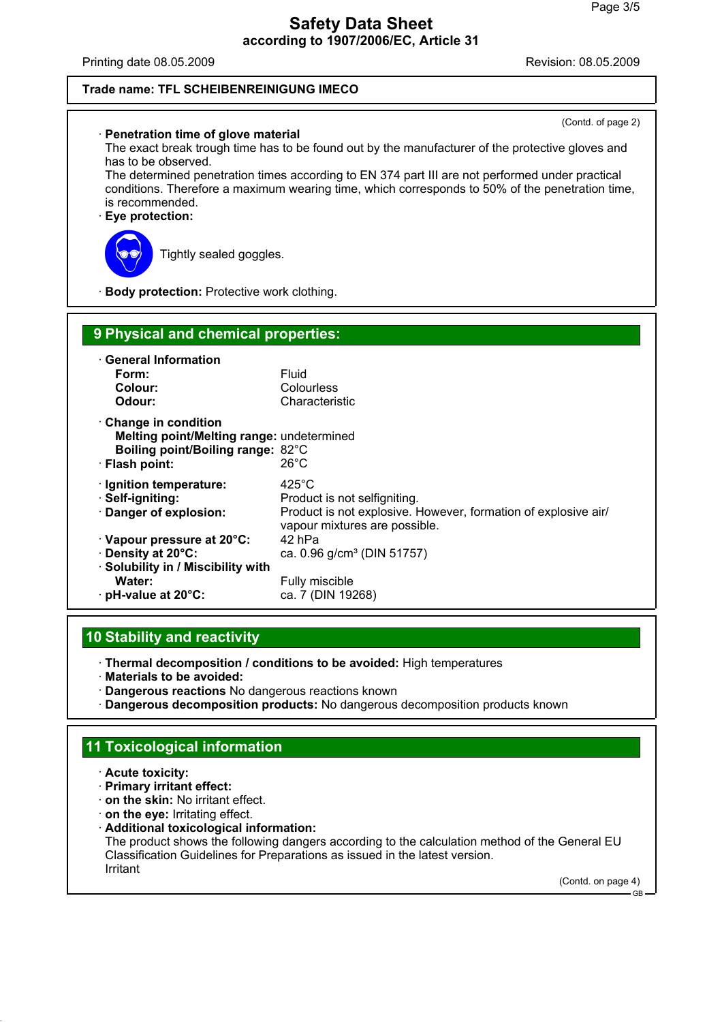Printing date 08.05.2009 **Revision: 08.05.2009** Revision: 08.05.2009

#### **Trade name: TFL SCHEIBENREINIGUNG IMECO**

| (Contd. of page 2)<br>· Penetration time of glove material<br>The exact break trough time has to be found out by the manufacturer of the protective gloves and<br>has to be observed.<br>The determined penetration times according to EN 374 part III are not performed under practical<br>conditions. Therefore a maximum wearing time, which corresponds to 50% of the penetration time,<br>is recommended.<br>Eye protection:<br>Tightly sealed goggles. |                                                                                                                                                    |  |
|--------------------------------------------------------------------------------------------------------------------------------------------------------------------------------------------------------------------------------------------------------------------------------------------------------------------------------------------------------------------------------------------------------------------------------------------------------------|----------------------------------------------------------------------------------------------------------------------------------------------------|--|
| · Body protection: Protective work clothing.                                                                                                                                                                                                                                                                                                                                                                                                                 |                                                                                                                                                    |  |
| 9 Physical and chemical properties:<br>· General Information<br>Form:<br>Colour:<br>Odour:                                                                                                                                                                                                                                                                                                                                                                   | Fluid<br>Colourless<br>Characteristic                                                                                                              |  |
| Change in condition<br>Melting point/Melting range: undetermined<br>Boiling point/Boiling range: 82°C<br>· Flash point:                                                                                                                                                                                                                                                                                                                                      | $26^{\circ}$ C                                                                                                                                     |  |
| · Ignition temperature:<br>· Self-igniting:<br>Danger of explosion:                                                                                                                                                                                                                                                                                                                                                                                          | $425^{\circ}$ C<br>Product is not selfigniting.<br>Product is not explosive. However, formation of explosive air/<br>vapour mixtures are possible. |  |
| Vapour pressure at 20°C:<br>Density at 20°C:<br>· Solubility in / Miscibility with<br>Water:<br>· pH-value at 20°C:                                                                                                                                                                                                                                                                                                                                          | 42 hPa<br>ca. 0.96 g/cm <sup>3</sup> (DIN 51757)<br>Fully miscible<br>ca. 7 (DIN 19268)                                                            |  |

### **10 Stability and reactivity**

· **Thermal decomposition / conditions to be avoided:** High temperatures

· **Materials to be avoided:**

- · **Dangerous reactions** No dangerous reactions known
- · **Dangerous decomposition products:** No dangerous decomposition products known

### **11 Toxicological information**

- · **Acute toxicity:**
- · **Primary irritant effect:**
- · **on the skin:** No irritant effect.
- · **on the eye:** Irritating effect.
- · **Additional toxicological information:**

The product shows the following dangers according to the calculation method of the General EU Classification Guidelines for Preparations as issued in the latest version. Irritant

(Contd. on page 4)

GB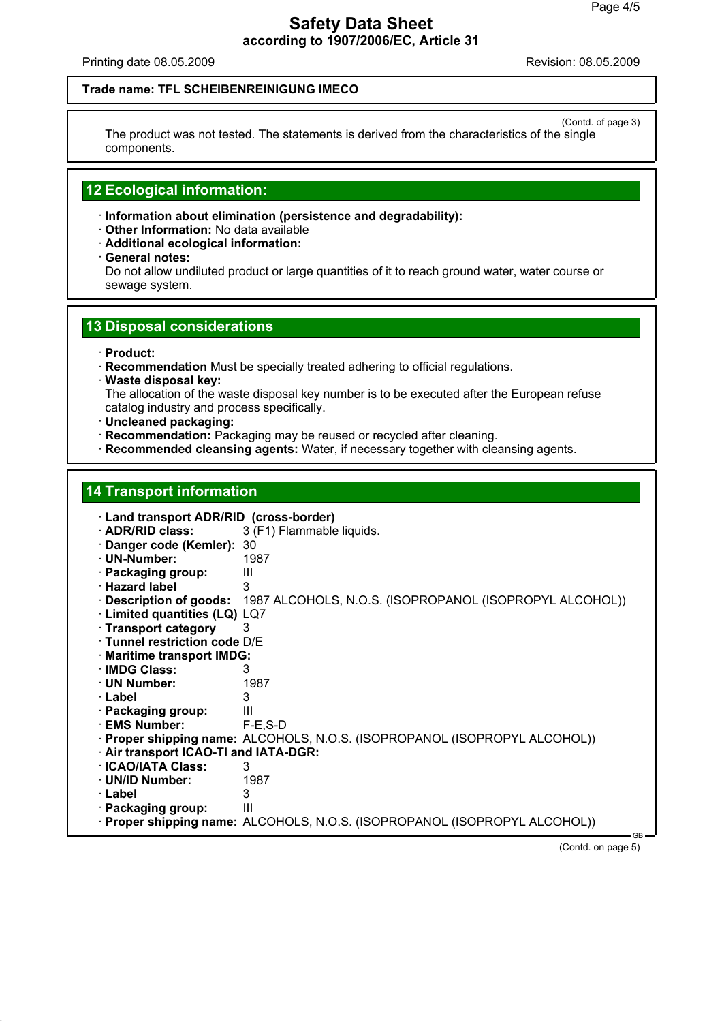Printing date 08.05.2009 **Printing date 08.05.2009** 

#### **Trade name: TFL SCHEIBENREINIGUNG IMECO**

(Contd. of page 3) The product was not tested. The statements is derived from the characteristics of the single components.

#### **12 Ecological information:**

· **Information about elimination (persistence and degradability):**

- · **Other Information:** No data available
- · **Additional ecological information:**
- · **General notes:**

Do not allow undiluted product or large quantities of it to reach ground water, water course or sewage system.

### **13 Disposal considerations**

- · **Product:**
- · **Recommendation** Must be specially treated adhering to official regulations.
- · **Waste disposal key:**

The allocation of the waste disposal key number is to be executed after the European refuse catalog industry and process specifically.

- · **Uncleaned packaging:**
- · **Recommendation:** Packaging may be reused or recycled after cleaning.
- · **Recommended cleansing agents:** Water, if necessary together with cleansing agents.

### **14 Transport information**

| · Land transport ADR/RID (cross-border) |                                                                            |
|-----------------------------------------|----------------------------------------------------------------------------|
| · ADR/RID class:                        | 3 (F1) Flammable liquids.                                                  |
| Danger code (Kemler): 30                |                                                                            |
| · UN-Number:                            | 1987                                                                       |
| · Packaging group:                      | Ш                                                                          |
| · Hazard label                          | 3                                                                          |
| $\cdot$ Description of goods:           | 1987 ALCOHOLS, N.O.S. (ISOPROPANOL (ISOPROPYL ALCOHOL))                    |
| · Limited quantities (LQ) LQ7           |                                                                            |
| · Transport category                    | 3                                                                          |
| · Tunnel restriction code D/E           |                                                                            |
| · Maritime transport IMDG:              |                                                                            |
| · IMDG Class:                           | 3                                                                          |
| $\cdot$ UN Number:                      | 1987                                                                       |
| · Label                                 | 3                                                                          |
| · Packaging group:                      | Ш                                                                          |
| <b>EMS Number:</b>                      | $F-E$ , $S-D$                                                              |
|                                         | · Proper shipping name: ALCOHOLS, N.O.S. (ISOPROPANOL (ISOPROPYL ALCOHOL)) |
| . Air transport ICAO-TI and IATA-DGR:   |                                                                            |
| <b>· ICAO/IATA Class:</b>               | 3                                                                          |
| · UN/ID Number:                         | 1987                                                                       |
| · Label                                 | 3                                                                          |
| · Packaging group:                      | Ш                                                                          |
|                                         | · Proper shipping name: ALCOHOLS, N.O.S. (ISOPROPANOL (ISOPROPYL ALCOHOL)) |
|                                         | - GB                                                                       |

(Contd. on page 5)